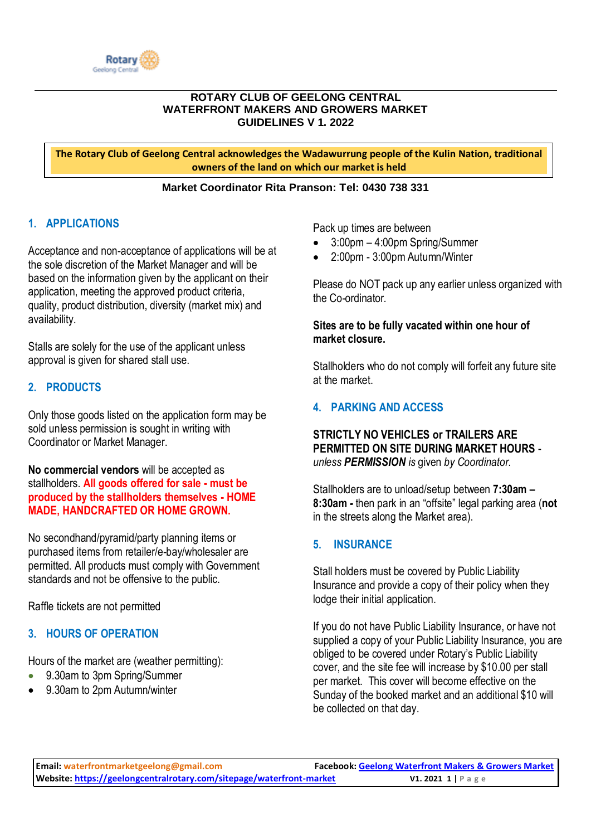

#### **ROTARY CLUB OF GEELONG CENTRAL WATERFRONT MAKERS AND GROWERS MARKET GUIDELINES V 1. 2022**

**The Rotary Club of Geelong Central acknowledges the Wadawurrung people of the Kulin Nation, traditional owners of the land on which our market is held**

#### **Market Coordinator Rita Pranson: Tel: 0430 738 331**

# **1. APPLICATIONS**

Acceptance and non-acceptance of applications will be at the sole discretion of the Market Manager and will be based on the information given by the applicant on their application, meeting the approved product criteria, quality, product distribution, diversity (market mix) and availability.

Stalls are solely for the use of the applicant unless approval is given for shared stall use.

## **2. PRODUCTS**

Only those goods listed on the application form may be sold unless permission is sought in writing with Coordinator or Market Manager.

**No commercial vendors** will be accepted as stallholders. **All goods offered for sale - must be produced by the stallholders themselves - HOME MADE, HANDCRAFTED OR HOME GROWN.**

No secondhand/pyramid/party planning items or purchased items from retailer/e-bay/wholesaler are permitted. All products must comply with Government standards and not be offensive to the public.

Raffle tickets are not permitted

# **3. HOURS OF OPERATION**

Hours of the market are (weather permitting):

- 9.30am to 3pm Spring/Summer
- 9.30am to 2pm Autumn/winter

Pack up times are between

- 3:00pm 4:00pm Spring/Summer
- 2:00pm 3:00pm Autumn/Winter

Please do NOT pack up any earlier unless organized with the Co-ordinator*.*

### **Sites are to be fully vacated within one hour of market closure.**

Stallholders who do not comply will forfeit any future site at the market.

## **4. PARKING AND ACCESS**

### **STRICTLY NO VEHICLES or TRAILERS ARE PERMITTED ON SITE DURING MARKET HOURS** *unless PERMISSION is* given *by Coordinator*.

Stallholders are to unload/setup between **7:30am – 8:30am** *-* then park in an "offsite" legal parking area (**not** in the streets along the Market area).

### **5. INSURANCE**

Stall holders must be covered by Public Liability Insurance and provide a copy of their policy when they lodge their initial application.

If you do not have Public Liability Insurance, or have not supplied a copy of your Public Liability Insurance, you are obliged to be covered under Rotary's Public Liability cover, and the site fee will increase by \$10.00 per stall per market. This cover will become effective on the Sunday of the booked market and an additional \$10 will be collected on that day.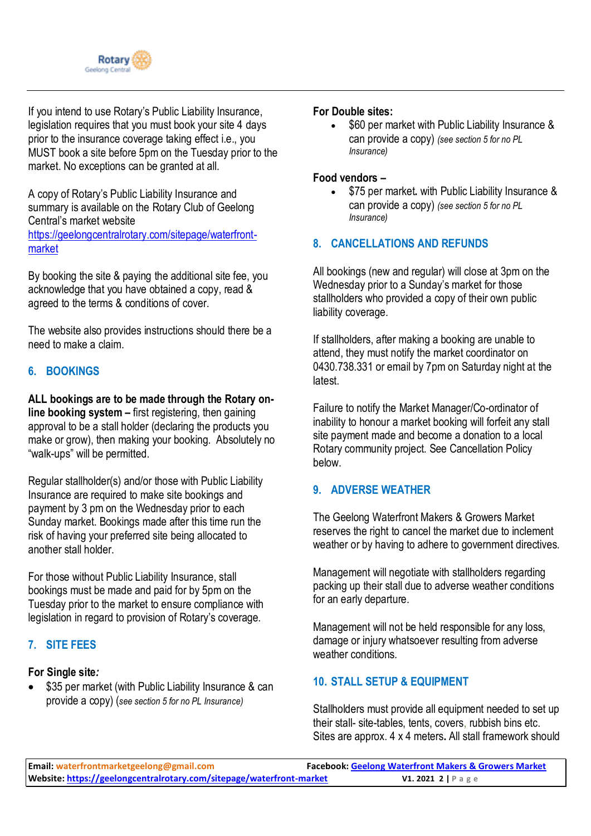

If you intend to use Rotary's Public Liability Insurance, legislation requires that you must book your site 4 days prior to the insurance coverage taking effect i.e., you MUST book a site before 5pm on the Tuesday prior to the market. No exceptions can be granted at all.

A copy of Rotary's Public Liability Insurance and summary is available on the Rotary Club of Geelong Central's market website [https://geelongcentralrotary.com/sitepage/waterfront](https://geelongcentralrotary.com/sitepage/waterfront-market)[market](https://geelongcentralrotary.com/sitepage/waterfront-market)

By booking the site & paying the additional site fee, you acknowledge that you have obtained a copy, read & agreed to the terms & conditions of cover.

The website also provides instructions should there be a need to make a claim.

# **6. BOOKINGS**

**ALL bookings are to be made through the Rotary online booking system –** first registering, then gaining approval to be a stall holder (declaring the products you make or grow), then making your booking. Absolutely no "walk-ups" will be permitted.

Regular stallholder(s) and/or those with Public Liability Insurance are required to make site bookings and payment by 3 pm on the Wednesday prior to each Sunday market. Bookings made after this time run the risk of having your preferred site being allocated to another stall holder.

For those without Public Liability Insurance, stall bookings must be made and paid for by 5pm on the Tuesday prior to the market to ensure compliance with legislation in regard to provision of Rotary's coverage.

### **7. SITE FEES**

#### **For Single site***:*

\$35 per market (with Public Liability Insurance & can provide a copy) (*see section 5 for no PL Insurance)*

#### **For Double sites:**

\$60 per market with Public Liability Insurance & can provide a copy) *(see section 5 for no PL Insurance)*

#### **Food vendors –**

• \$75 per market**.** with Public Liability Insurance & can provide a copy) *(see section 5 for no PL Insurance)*

## **8. CANCELLATIONS AND REFUNDS**

All bookings (new and regular) will close at 3pm on the Wednesday prior to a Sunday's market for those stallholders who provided a copy of their own public liability coverage.

If stallholders, after making a booking are unable to attend, they must notify the market coordinator on 0430.738.331 or email by 7pm on Saturday night at the latest.

Failure to notify the Market Manager/Co-ordinator of inability to honour a market booking will forfeit any stall site payment made and become a donation to a local Rotary community project. See Cancellation Policy below.

### **9. ADVERSE WEATHER**

The Geelong Waterfront Makers & Growers Market reserves the right to cancel the market due to inclement weather or by having to adhere to government directives.

Management will negotiate with stallholders regarding packing up their stall due to adverse weather conditions for an early departure.

Management will not be held responsible for any loss, damage or injury whatsoever resulting from adverse weather conditions*.*

## **10. STALL SETUP & EQUIPMENT**

Stallholders must provide all equipment needed to set up their stall- site-tables, tents, covers, rubbish bins etc. Sites are approx. 4 x 4 meters**.** All stall framework should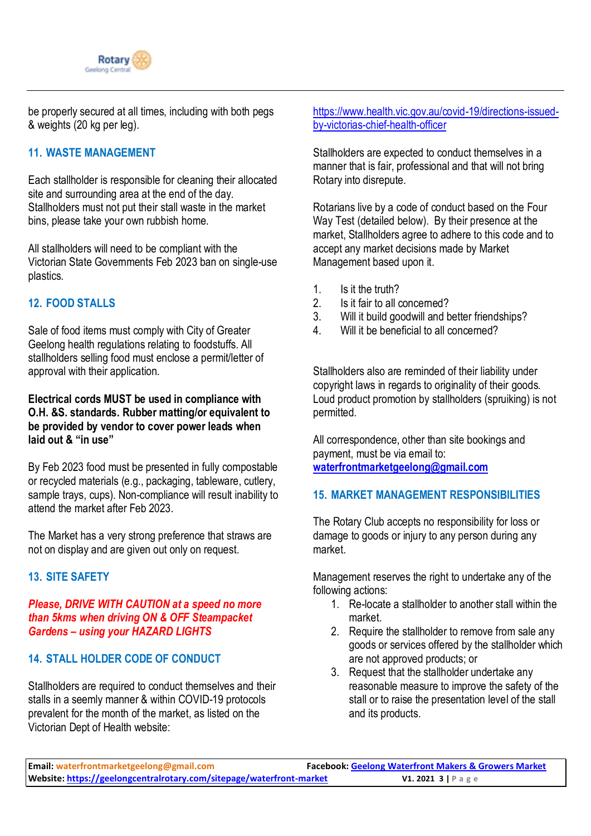

be properly secured at all times, including with both pegs & weights (20 kg per leg).

## **11. WASTE MANAGEMENT**

Each stallholder is responsible for cleaning their allocated site and surrounding area at the end of the day. Stallholders must not put their stall waste in the market bins, please take your own rubbish home.

All stallholders will need to be compliant with the Victorian State Governments Feb 2023 ban on single-use plastics.

# **12. FOOD STALLS**

Sale of food items must comply with City of Greater Geelong health regulations relating to foodstuffs. All stallholders selling food must enclose a permit/letter of approval with their application.

### **Electrical cords MUST be used in compliance with O.H. &S. standards. Rubber matting/or equivalent to be provided by vendor to cover power leads when laid out & "in use"**

By Feb 2023 food must be presented in fully compostable or recycled materials (e.g., packaging, tableware, cutlery, sample trays, cups). Non-compliance will result inability to attend the market after Feb 2023.

The Market has a very strong preference that straws are not on display and are given out only on request.

# **13. SITE SAFETY**

#### *Please, DRIVE WITH CAUTION at a speed no more than 5kms when driving ON & OFF Steampacket Gardens – using your HAZARD LIGHTS*

# **14. STALL HOLDER CODE OF CONDUCT**

Stallholders are required to conduct themselves and their stalls in a seemly manner & within COVID-19 protocols prevalent for the month of the market, as listed on the Victorian Dept of Health website:

[https://www.health.vic.gov.au/covid-19/directions-issued](https://www.health.vic.gov.au/covid-19/directions-issued-by-victorias-chief-health-officer)[by-victorias-chief-health-officer](https://www.health.vic.gov.au/covid-19/directions-issued-by-victorias-chief-health-officer)

Stallholders are expected to conduct themselves in a manner that is fair, professional and that will not bring Rotary into disrepute.

Rotarians live by a code of conduct based on the Four Way Test (detailed below). By their presence at the market, Stallholders agree to adhere to this code and to accept any market decisions made by Market Management based upon it.

- 1. Is it the truth?
- 2. Is it fair to all concerned?
- 3. Will it build goodwill and better friendships?
- 4. Will it be beneficial to all concerned?

Stallholders also are reminded of their liability under copyright laws in regards to originality of their goods. Loud product promotion by stallholders (spruiking) is not permitted.

All correspondence, other than site bookings and payment, must be via email to: **[waterfrontmarketgeelong@gmail.com](mailto:waterfrontmarketgeelong@gmail.com)**

## **15. MARKET MANAGEMENT RESPONSIBILITIES**

The Rotary Club accepts no responsibility for loss or damage to goods or injury to any person during any market.

Management reserves the right to undertake any of the following actions:

- 1. Re-locate a stallholder to another stall within the market.
- 2. Require the stallholder to remove from sale any goods or services offered by the stallholder which are not approved products; or
- 3. Request that the stallholder undertake any reasonable measure to improve the safety of the stall or to raise the presentation level of the stall and its products.